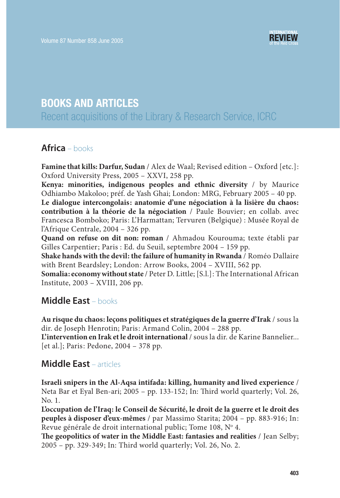# **BOOKS AND ARTICLES** Recent acquisitions of the Library & Research Service, ICRC

## **Africa** – books

**Famine that kills: Darfur, Sudan** / Alex de Waal; Revised edition – Oxford [etc.] : Oxford University Press, 2005 – XXVI, 258 pp.

**Kenya: minorities, indigenous peoples and ethnic diversity** / by Maurice Odhiambo Makoloo; préf. de Yash Ghai; London: MRG, February 2005 - 40 pp.

Le dialogue intercongolais: anatomie d'une négociation à la lisière du chaos: **contribution à la théorie de la négociation** / Paule Bouvier; en collab. avec Francesca Bomboko; Paris: L'Harmattan; Tervuren (Belgique) : Musée Royal de l'Afrique Centrale, 2004 – 326 pp.

**Quand on refuse on dit non: roman** / Ahmadou Kourouma; texte établi par Gilles Carpentier; Paris : Ed. du Seuil, septembre 2004 - 159 pp.

**Shake hands with the devil : the failure of humanity in Rwanda** / Roméo Dallaire with Brent Beardsley; London: Arrow Books, 2004 - XVIII, 562 pp.

**Somalia : economy without state** / Peter D. Little; [S.l.] : The International African Institute, 2003 – XVIII, 206 pp.

## **Middle East** – books

**Au risque du chaos : leçons politiques et stratégiques de la guerre d'Irak** / sous la dir. de Joseph Henrotin; Paris: Armand Colin, 2004 – 288 pp.

**L'intervention en Irak et le droit international** / sous la dir. de Karine Bannelier... [et al.]; Paris: Pedone, 2004 - 378 pp.

## **Middle East** – articles

**Israeli snipers in the Al-Aqsa intifada : killing, humanity and lived experience** / Neta Bar et Eyal Ben-ari; 2005 – pp. 133-152; In: Third world quarterly; Vol. 26, No. 1.

**L'occupation de l'Iraq : le Conseil de Sécurité, le droit de la guerre et le droit des peuples à disposer d'eux-mêmes** / par Massimo Starita; 2004 – pp. 883-916; In : Revue générale de droit international public; Tome 108, Nº 4.

The geopolitics of water in the Middle East: fantasies and realities / Jean Selby; 2005 – pp. 329-349; In: Third world quarterly; Vol. 26, No. 2.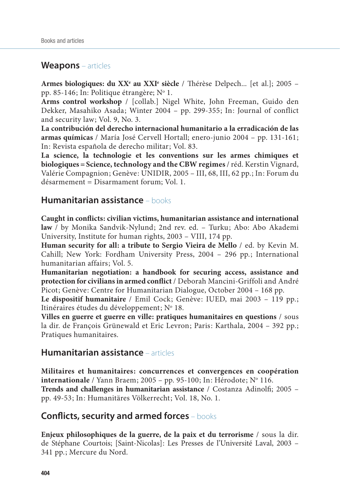#### **Weapons** – articles

Armes biologiques: du XX<sup>e</sup> au XXI<sup>e</sup> siècle / Thérèse Delpech... [et al.]; 2005 pp. 85-146; In: Politique étrangère; Nº 1.

**Arms control workshop** / [collab.] Nigel White, John Freeman, Guido den Dekker, Masahiko Asada; Winter 2004 - pp. 299-355; In: Journal of conflict and security law; Vol. 9, No. 3.

**La contribución del derecho internacional humanitario a la erradicación de las armas químicas** / María José Cervell Hortall; enero-junio 2004 – pp. 131-161; In: Revista española de derecho militar; Vol. 83.

**La science, la technologie et les conventions sur les armes chimiques et biologiques = Science, technology and the CBW regimes** / réd. Kerstin Vignard, Valérie Compagnion; Genève: UNIDIR, 2005 – III, 68, III, 62 pp.; In: Forum du désarmement = Disarmament forum; Vol. 1.

## **Humanitarian assistance** – books

Caught in conflicts: civilian victims, humanitarian assistance and international law / by Monika Sandvik-Nylund; 2nd rev. ed. - Turku; Abo: Abo Akademi University, Institute for human rights, 2003 – VIII, 174 pp.

**Human security for all: a tribute to Sergio Vieira de Mello** / ed. by Kevin M. Cahill; New York: Fordham University Press, 2004 – 296 pp.; International humanitarian affairs; Vol. 5.

**Humanitarian negotiation: a handbook for securing access, assistance and protection for civilians in armed conflict** / Deborah Mancini-Griffoli and André Picot; Genève: Centre for Humanitarian Dialogue, October 2004 – 168 pp.

**Le dispositif humanitaire** / Emil Cock; Genève: IUED, mai 2003 – 119 pp.; Itinéraires études du développement; Nº 18.

**Villes en guerre et guerre en ville: pratiques humanitaires en questions** / sous la dir. de François Grünewald et Eric Levron; Paris: Karthala, 2004 - 392 pp.; Pratiques humanitaires.

## **Humanitarian assistance** – articles

**Militaires et humanitaires : concurrences et convergences en coopération internationale** / Yann Braem; 2005 – pp. 95-100; In: Hérodote; Nº 116. **Trends and challenges in humanitarian assistance** / Costanza Adinolfi; 2005 – pp. 49-53; In: Humanitäres Völkerrecht; Vol. 18, No. 1.

## **Conflicts, security and armed forces** – books

**Enjeux philosophiques de la guerre, de la paix et du terrorisme** / sous la dir. de Stéphane Courtois; [Saint-Nicolas]: Les Presses de l'Université Laval, 2003 – 341 pp.; Mercure du Nord.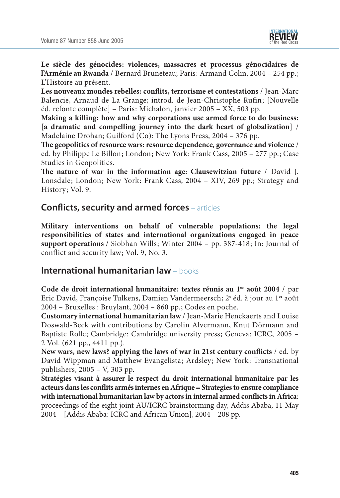

Le siècle des génocides: violences, massacres et processus génocidaires de l'Arménie au Rwanda / Bernard Bruneteau; Paris: Armand Colin, 2004 – 254 pp.; L'Histoire au présent.

Les nouveaux mondes rebelles: conflits, terrorisme et contestations / Jean-Marc Balencie, Arnaud de La Grange; introd. de Jean-Christophe Rufin; [Nouvelle éd. refonte complète] - Paris: Michalon, janvier 2005 - XX, 503 pp.

Making a killing: how and why corporations use armed force to do business: **[a dramatic and compelling journey into the dark heart of globalization]** / Madelaine Drohan; Guilford (Co): The Lyons Press, 2004 – 376 pp.

The geopolitics of resource wars: resource dependence, governance and violence / ed. by Philippe Le Billon; London; New York: Frank Cass, 2005 - 277 pp.; Case Studies in Geopolitics.

The nature of war in the information age: Clausewitzian future / David J. Lonsdale; London; New York: Frank Cass, 2004 - XIV, 269 pp.; Strategy and History; Vol. 9.

# **Conflicts, security and armed forces** – articles

**Military interventions on behalf of vulnerable populations: the legal responsibilities of states and international organizations engaged in peace support operations** / Siobhan Wills; Winter 2004 – pp. 387-418; In: Journal of conflict and security law; Vol. 9, No. 3.

## **International humanitarian law** – books

Code de droit international humanitaire: textes réunis au 1<sup>er</sup> août 2004 / par Eric David, Françoise Tulkens, Damien Vandermeersch; 2<sup>e</sup> éd. à jour au 1<sup>er</sup> août 2004 – Bruxelles : Bruylant, 2004 – 860 pp.; Codes en poche.

**Customary international humanitarian law** / Jean-Marie Henckaerts and Louise Doswald-Beck with contributions by Carolin Alvermann, Knut Dörmann and Baptiste Rolle; Cambridge: Cambridge university press; Geneva: ICRC, 2005 -2 Vol. (621 pp., 4411 pp.).

New wars, new laws? applying the laws of war in 21st century conflicts / ed. by David Wippman and Matthew Evangelista; Ardsley; New York: Transnational publishers, 2005 – V, 303 pp.

**Stratégies visant à assurer le respect du droit international humanitaire par les acteurs dans les confl its armés internes en Afrique = Strategies to ensure compliance**  with international humanitarian law by actors in internal armed conflicts in Africa: proceedings of the eight joint AU/ICRC brainstorming day, Addis Ababa, 11 May 2004 – [Addis Ababa: ICRC and African Union], 2004 – 208 pp.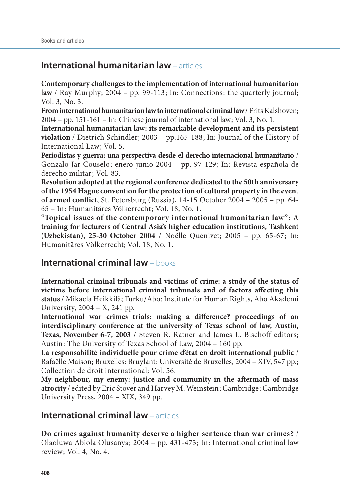## **International humanitarian law** – articles

**Contemporary challenges to the implementation of international humanitarian law** / Ray Murphy; 2004 – pp. 99-113; In: Connections: the quarterly journal; Vol. 3, No. 3.

**From international humanitarian law to international criminal law** / Frits Kalshoven; 2004 – pp. 151-161 – In: Chinese journal of international law ; Vol. 3, No. 1.

International humanitarian law: its remarkable development and its persistent **violation** / Dietrich Schindler; 2003 – pp.165-188; In: Journal of the History of International Law; Vol. 5.

**Periodistas y guerra : una perspectiva desde el derecho internacional humanitario** / Gonzalo Jar Couselo; enero-junio 2004 – pp. 97-129; In: Revista española de derecho militar; Vol. 83.

**Resolution adopted at the regional conference dedicated to the 50th anniversary of the 1954 Hague convention for the protection of cultural property in the event of armed conflict**, St. Petersburg (Russia), 14-15 October 2004 – 2005 – pp. 64-65 – In: Humanitäres Völkerrecht; Vol. 18, No. 1.

**"Topical issues of the contemporary international humanitarian law" : A training for lecturers of Central Asia's higher education institutions, Tashkent (Uzbekistan), 25-30 October 2004** / Noëlle Quénivet; 2005 – pp. 65-67; In: Humanitäres Völkerrecht; Vol. 18, No. 1.

## **International criminal law** – books

**International criminal tribunals and victims of crime: a study of the status of**  victims before international criminal tribunals and of factors affecting this **status** / Mikaela Heikkilä; Turku/Abo: Institute for Human Rights, Abo Akademi University, 2004 – X, 241 pp.

International war crimes trials: making a difference? proceedings of an **interdisciplinary conference at the university of Texas school of law, Austin, Texas, November 6-7, 2003** / Steven R. Ratner and James L. Bischoff editors; Austin: The University of Texas School of Law, 2004 - 160 pp.

**La responsabilité individuelle pour crime d'état en droit international public** / Rafaëlle Maison; Bruxelles: Bruylant: Université de Bruxelles, 2004 - XIV, 547 pp.; Collection de droit international; Vol. 56.

My neighbour, my enemy: justice and community in the aftermath of mass **atrocity** / edited by Eric Stover and Harvey M. Weinstein ; Cambridge : Cambridge University Press, 2004 – XIX, 349 pp.

#### **International criminal law** – articles

**Do crimes against humanity deserve a higher sentence than war crimes ?** / Olaoluwa Abiola Olusanya; 2004 – pp. 431-473; In: International criminal law review; Vol. 4, No. 4.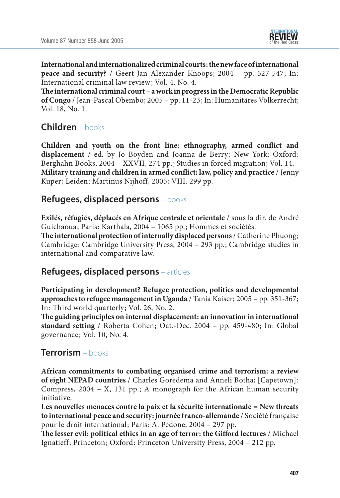

**International and internationalized criminal courts : the new face of international peace and security?** / Geert-Jan Alexander Knoops; 2004 – pp. 527-547; In: International criminal law review; Vol. 4, No. 4.

The international criminal court – a work in progress in the Democratic Republic **of Congo** / Jean-Pascal Obembo; 2005 – pp. 11-23; In: Humanitäres Völkerrecht; Vol. 18, No. 1.

# **Children** – books

Children and youth on the front line: ethnography, armed conflict and displacement / ed. by Jo Boyden and Joanna de Berry; New York; Oxford: Berghahn Books, 2004 – XXVII, 274 pp.; Studies in forced migration; Vol. 14. **Military training and children in armed conflict: law, policy and practice** / Jenny Kuper; Leiden: Martinus Nijhoff, 2005; VIII, 299 pp.

## **Refugees, displaced persons** – books

**Exilés, réfugiés, déplacés en Afrique centrale et orientale** / sous la dir. de André Guichaoua; Paris: Karthala, 2004 – 1065 pp.; Hommes et sociétés.

The international protection of internally displaced persons / Catherine Phuong; Cambridge : Cambridge University Press, 2004 – 293 pp.; Cambridge studies in international and comparative law.

# **Refugees, displaced persons** – articles

**Participating in development? Refugee protection, politics and developmental approaches to refugee management in Uganda** / Tania Kaiser; 2005 – pp. 351-367; In: Third world quarterly; Vol. 26, No. 2.

The guiding principles on internal displacement: an innovation in international standard setting / Roberta Cohen; Oct.-Dec. 2004 - pp. 459-480; In: Global governance; Vol. 10, No. 4.

## **Terrorism** – books

**African commitments to combating organised crime and terrorism: a review of eight NEPAD countries** / Charles Goredema and Anneli Botha; [Capetown] : Compress, 2004 – X, 131 pp.; A monograph for the African human security initiative.

**Les nouvelles menaces contre la paix et la sécurité internationale = New threats to international peace and security: journée franco-allemande** / Société française pour le droit international; Paris: A. Pedone, 2004 – 297 pp.

The lesser evil: political ethics in an age of terror: the Gifford lectures / Michael Ignatieff; Princeton; Oxford: Princeton University Press, 2004 - 212 pp.